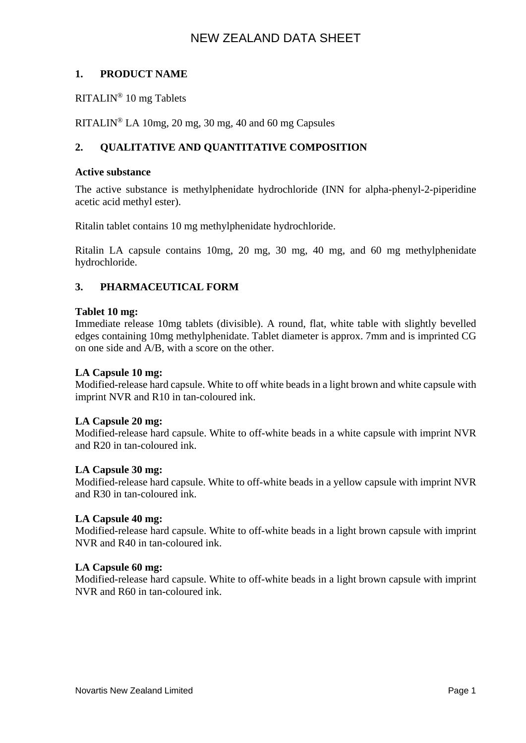# **1. PRODUCT NAME**

RITALIN® 10 mg Tablets

RITALIN® LA 10mg, 20 mg, 30 mg, 40 and 60 mg Capsules

# **2. QUALITATIVE AND QUANTITATIVE COMPOSITION**

#### **Active substance**

The active substance is methylphenidate hydrochloride (INN for alpha-phenyl-2-piperidine acetic acid methyl ester).

Ritalin tablet contains 10 mg methylphenidate hydrochloride.

Ritalin LA capsule contains 10mg, 20 mg, 30 mg, 40 mg, and 60 mg methylphenidate hydrochloride.

### **3. PHARMACEUTICAL FORM**

#### **Tablet 10 mg:**

Immediate release 10mg tablets (divisible). A round, flat, white table with slightly bevelled edges containing 10mg methylphenidate. Tablet diameter is approx. 7mm and is imprinted CG on one side and A/B, with a score on the other.

#### **LA Capsule 10 mg:**

Modified-release hard capsule. White to off white beads in a light brown and white capsule with imprint NVR and R10 in tan-coloured ink.

#### **LA Capsule 20 mg:**

Modified-release hard capsule. White to off-white beads in a white capsule with imprint NVR and R20 in tan-coloured ink.

#### **LA Capsule 30 mg:**

Modified-release hard capsule. White to off-white beads in a yellow capsule with imprint NVR and R30 in tan-coloured ink.

#### **LA Capsule 40 mg:**

Modified-release hard capsule. White to off-white beads in a light brown capsule with imprint NVR and R40 in tan-coloured ink.

#### **LA Capsule 60 mg:**

Modified-release hard capsule. White to off-white beads in a light brown capsule with imprint NVR and R60 in tan-coloured ink.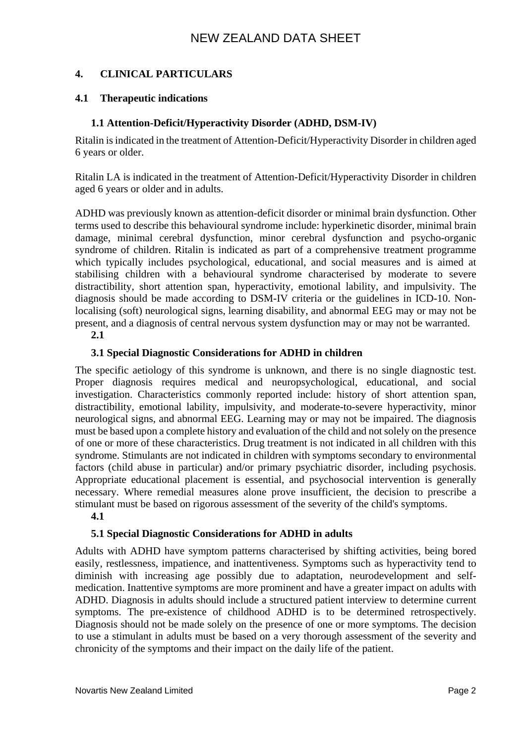# **4. CLINICAL PARTICULARS**

# **4.1 Therapeutic indications**

# **1.1 Attention-Deficit/Hyperactivity Disorder (ADHD, DSM-IV)**

Ritalin is indicated in the treatment of Attention-Deficit/Hyperactivity Disorder in children aged 6 years or older.

Ritalin LA is indicated in the treatment of Attention-Deficit/Hyperactivity Disorder in children aged 6 years or older and in adults.

ADHD was previously known as attention-deficit disorder or minimal brain dysfunction. Other terms used to describe this behavioural syndrome include: hyperkinetic disorder, minimal brain damage, minimal cerebral dysfunction, minor cerebral dysfunction and psycho-organic syndrome of children. Ritalin is indicated as part of a comprehensive treatment programme which typically includes psychological, educational, and social measures and is aimed at stabilising children with a behavioural syndrome characterised by moderate to severe distractibility, short attention span, hyperactivity, emotional lability, and impulsivity. The diagnosis should be made according to DSM-IV criteria or the guidelines in ICD-10. Nonlocalising (soft) neurological signs, learning disability, and abnormal EEG may or may not be present, and a diagnosis of central nervous system dysfunction may or may not be warranted.

**2.1**

# **3.1 Special Diagnostic Considerations for ADHD in children**

The specific aetiology of this syndrome is unknown, and there is no single diagnostic test. Proper diagnosis requires medical and neuropsychological, educational, and social investigation. Characteristics commonly reported include: history of short attention span, distractibility, emotional lability, impulsivity, and moderate-to-severe hyperactivity, minor neurological signs, and abnormal EEG. Learning may or may not be impaired. The diagnosis must be based upon a complete history and evaluation of the child and not solely on the presence of one or more of these characteristics. Drug treatment is not indicated in all children with this syndrome. Stimulants are not indicated in children with symptoms secondary to environmental factors (child abuse in particular) and/or primary psychiatric disorder, including psychosis. Appropriate educational placement is essential, and psychosocial intervention is generally necessary. Where remedial measures alone prove insufficient, the decision to prescribe a stimulant must be based on rigorous assessment of the severity of the child's symptoms.

# **4.1**

# **5.1 Special Diagnostic Considerations for ADHD in adults**

Adults with ADHD have symptom patterns characterised by shifting activities, being bored easily, restlessness, impatience, and inattentiveness. Symptoms such as hyperactivity tend to diminish with increasing age possibly due to adaptation, neurodevelopment and selfmedication. Inattentive symptoms are more prominent and have a greater impact on adults with ADHD. Diagnosis in adults should include a structured patient interview to determine current symptoms. The pre-existence of childhood ADHD is to be determined retrospectively. Diagnosis should not be made solely on the presence of one or more symptoms. The decision to use a stimulant in adults must be based on a very thorough assessment of the severity and chronicity of the symptoms and their impact on the daily life of the patient.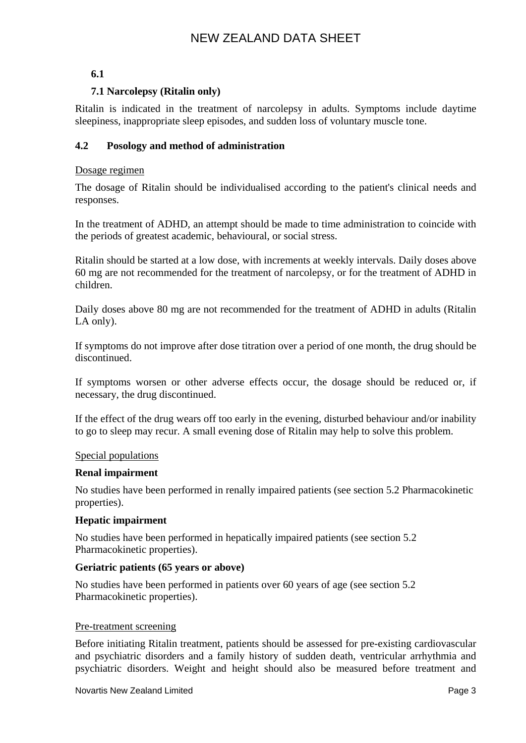# **6.1**

# **7.1 Narcolepsy (Ritalin only)**

Ritalin is indicated in the treatment of narcolepsy in adults. Symptoms include daytime sleepiness, inappropriate sleep episodes, and sudden loss of voluntary muscle tone.

# **4.2 Posology and method of administration**

### Dosage regimen

The dosage of Ritalin should be individualised according to the patient's clinical needs and responses.

In the treatment of ADHD, an attempt should be made to time administration to coincide with the periods of greatest academic, behavioural, or social stress.

Ritalin should be started at a low dose, with increments at weekly intervals. Daily doses above 60 mg are not recommended for the treatment of narcolepsy, or for the treatment of ADHD in children.

Daily doses above 80 mg are not recommended for the treatment of ADHD in adults (Ritalin LA only).

If symptoms do not improve after dose titration over a period of one month, the drug should be discontinued.

If symptoms worsen or other adverse effects occur, the dosage should be reduced or, if necessary, the drug discontinued.

If the effect of the drug wears off too early in the evening, disturbed behaviour and/or inability to go to sleep may recur. A small evening dose of Ritalin may help to solve this problem.

#### Special populations

#### **Renal impairment**

No studies have been performed in renally impaired patients (see section 5.2 Pharmacokinetic properties).

#### **Hepatic impairment**

No studies have been performed in hepatically impaired patients (see section 5.2 Pharmacokinetic properties).

#### **Geriatric patients (65 years or above)**

No studies have been performed in patients over 60 years of age (see section 5.2 Pharmacokinetic properties).

#### Pre-treatment screening

Before initiating Ritalin treatment, patients should be assessed for pre-existing cardiovascular and psychiatric disorders and a family history of sudden death, ventricular arrhythmia and psychiatric disorders. Weight and height should also be measured before treatment and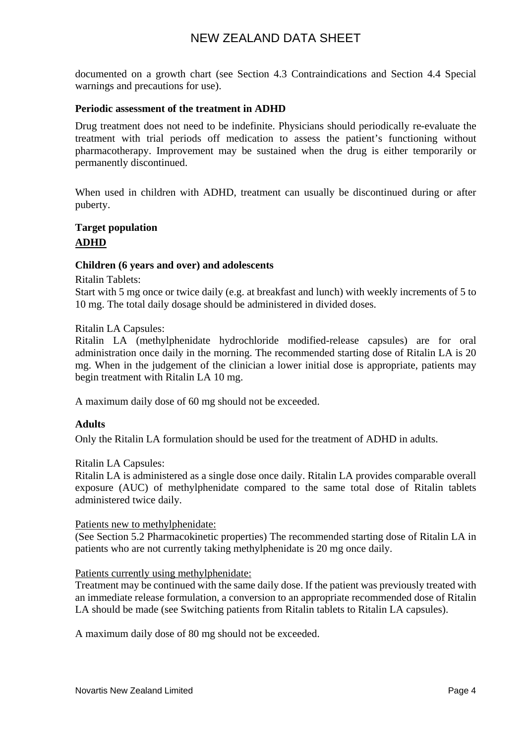documented on a growth chart (see Section 4.3 Contraindications and Section 4.4 Special warnings and precautions for use).

#### **Periodic assessment of the treatment in ADHD**

Drug treatment does not need to be indefinite. Physicians should periodically re-evaluate the treatment with trial periods off medication to assess the patient's functioning without pharmacotherapy. Improvement may be sustained when the drug is either temporarily or permanently discontinued.

When used in children with ADHD, treatment can usually be discontinued during or after puberty.

# **Target population ADHD**

#### **Children (6 years and over) and adolescents**

Ritalin Tablets:

Start with 5 mg once or twice daily (e.g. at breakfast and lunch) with weekly increments of 5 to 10 mg. The total daily dosage should be administered in divided doses.

Ritalin LA Capsules:

Ritalin LA (methylphenidate hydrochloride modified-release capsules) are for oral administration once daily in the morning. The recommended starting dose of Ritalin LA is 20 mg. When in the judgement of the clinician a lower initial dose is appropriate, patients may begin treatment with Ritalin LA 10 mg.

A maximum daily dose of 60 mg should not be exceeded.

#### **Adults**

Only the Ritalin LA formulation should be used for the treatment of ADHD in adults.

#### Ritalin LA Capsules:

Ritalin LA is administered as a single dose once daily. Ritalin LA provides comparable overall exposure (AUC) of methylphenidate compared to the same total dose of Ritalin tablets administered twice daily.

#### Patients new to methylphenidate:

(See Section 5.2 Pharmacokinetic properties) The recommended starting dose of Ritalin LA in patients who are not currently taking methylphenidate is 20 mg once daily.

#### Patients currently using methylphenidate:

Treatment may be continued with the same daily dose. If the patient was previously treated with an immediate release formulation, a conversion to an appropriate recommended dose of Ritalin LA should be made (see Switching patients from Ritalin tablets to Ritalin LA capsules).

A maximum daily dose of 80 mg should not be exceeded.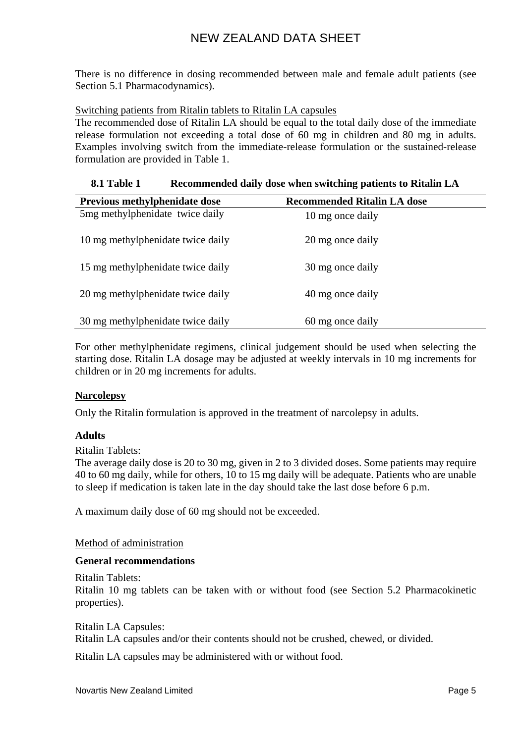There is no difference in dosing recommended between male and female adult patients (see Section 5.1 Pharmacodynamics).

### Switching patients from Ritalin tablets to Ritalin LA capsules

The recommended dose of Ritalin LA should be equal to the total daily dose of the immediate release formulation not exceeding a total dose of 60 mg in children and 80 mg in adults. Examples involving switch from the immediate-release formulation or the sustained-release formulation are provided in Table 1.

## **8.1 Table 1 Recommended daily dose when switching patients to Ritalin LA**

| Previous methylphenidate dose     | <b>Recommended Ritalin LA dose</b> |
|-----------------------------------|------------------------------------|
| 5mg methylphenidate twice daily   | 10 mg once daily                   |
| 10 mg methylphenidate twice daily | 20 mg once daily                   |
| 15 mg methylphenidate twice daily | 30 mg once daily                   |
| 20 mg methylphenidate twice daily | 40 mg once daily                   |
| 30 mg methylphenidate twice daily | 60 mg once daily                   |

For other methylphenidate regimens, clinical judgement should be used when selecting the starting dose. Ritalin LA dosage may be adjusted at weekly intervals in 10 mg increments for children or in 20 mg increments for adults.

#### **Narcolepsy**

Only the Ritalin formulation is approved in the treatment of narcolepsy in adults.

#### **Adults**

Ritalin Tablets:

The average daily dose is 20 to 30 mg, given in 2 to 3 divided doses. Some patients may require 40 to 60 mg daily, while for others, 10 to 15 mg daily will be adequate. Patients who are unable to sleep if medication is taken late in the day should take the last dose before 6 p.m.

A maximum daily dose of 60 mg should not be exceeded.

#### Method of administration

# **General recommendations**

Ritalin Tablets:

Ritalin 10 mg tablets can be taken with or without food (see Section 5.2 Pharmacokinetic properties).

Ritalin LA Capsules:

Ritalin LA capsules and/or their contents should not be crushed, chewed, or divided.

Ritalin LA capsules may be administered with or without food.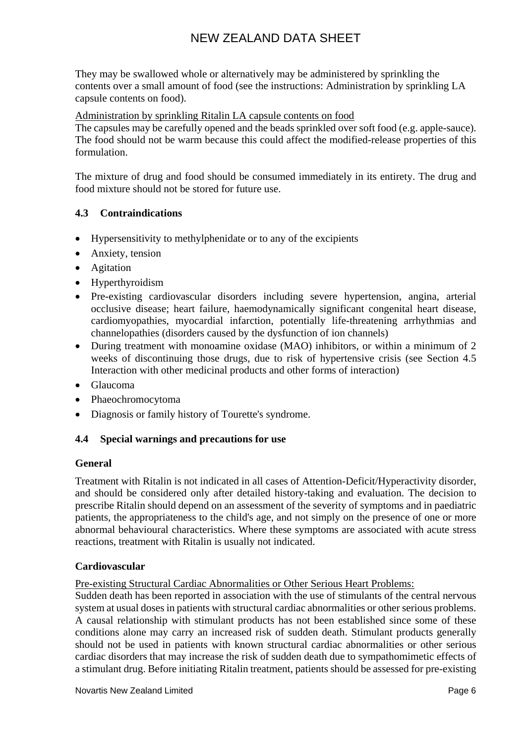They may be swallowed whole or alternatively may be administered by sprinkling the contents over a small amount of food (see the instructions: Administration by sprinkling LA capsule contents on food).

Administration by sprinkling Ritalin LA capsule contents on food

The capsules may be carefully opened and the beads sprinkled over soft food (e.g. apple-sauce). The food should not be warm because this could affect the modified-release properties of this formulation.

The mixture of drug and food should be consumed immediately in its entirety. The drug and food mixture should not be stored for future use.

# **4.3 Contraindications**

- Hypersensitivity to methylphenidate or to any of the excipients
- Anxiety, tension
- Agitation
- Hyperthyroidism
- Pre-existing cardiovascular disorders including severe hypertension, angina, arterial occlusive disease; heart failure, haemodynamically significant congenital heart disease, cardiomyopathies, myocardial infarction, potentially life-threatening arrhythmias and channelopathies (disorders caused by the dysfunction of ion channels)
- During treatment with monoamine oxidase (MAO) inhibitors, or within a minimum of 2 weeks of discontinuing those drugs, due to risk of hypertensive crisis (see Section 4.5 Interaction with other medicinal products and other forms of interaction)
- Glaucoma
- Phaeochromocytoma
- Diagnosis or family history of Tourette's syndrome.

# **4.4 Special warnings and precautions for use**

# **General**

Treatment with Ritalin is not indicated in all cases of Attention-Deficit/Hyperactivity disorder, and should be considered only after detailed history-taking and evaluation. The decision to prescribe Ritalin should depend on an assessment of the severity of symptoms and in paediatric patients, the appropriateness to the child's age, and not simply on the presence of one or more abnormal behavioural characteristics. Where these symptoms are associated with acute stress reactions, treatment with Ritalin is usually not indicated.

# **Cardiovascular**

Pre-existing Structural Cardiac Abnormalities or Other Serious Heart Problems:

Sudden death has been reported in association with the use of stimulants of the central nervous system at usual doses in patients with structural cardiac abnormalities or other serious problems. A causal relationship with stimulant products has not been established since some of these conditions alone may carry an increased risk of sudden death. Stimulant products generally should not be used in patients with known structural cardiac abnormalities or other serious cardiac disorders that may increase the risk of sudden death due to sympathomimetic effects of a stimulant drug. Before initiating Ritalin treatment, patients should be assessed for pre-existing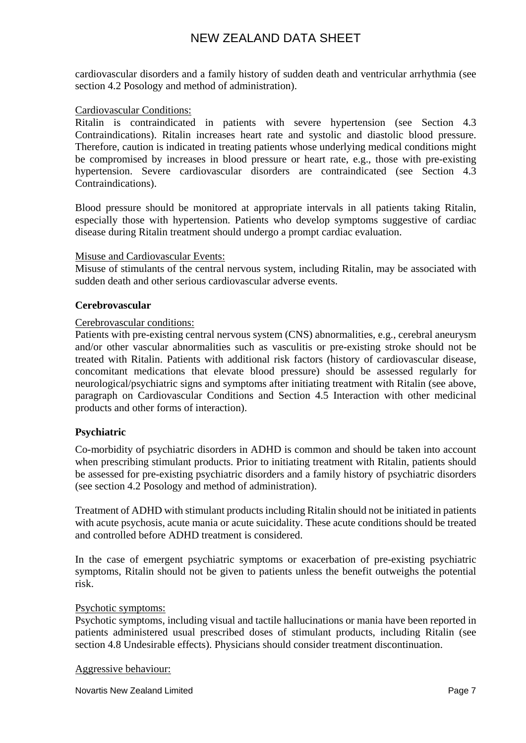cardiovascular disorders and a family history of sudden death and ventricular arrhythmia (see section 4.2 Posology and method of administration).

#### Cardiovascular Conditions:

Ritalin is contraindicated in patients with severe hypertension (see Section 4.3 Contraindications). Ritalin increases heart rate and systolic and diastolic blood pressure. Therefore, caution is indicated in treating patients whose underlying medical conditions might be compromised by increases in blood pressure or heart rate, e.g., those with pre-existing hypertension. Severe cardiovascular disorders are contraindicated (see Section 4.3 Contraindications).

Blood pressure should be monitored at appropriate intervals in all patients taking Ritalin, especially those with hypertension. Patients who develop symptoms suggestive of cardiac disease during Ritalin treatment should undergo a prompt cardiac evaluation.

#### Misuse and Cardiovascular Events:

Misuse of stimulants of the central nervous system, including Ritalin, may be associated with sudden death and other serious cardiovascular adverse events.

#### **Cerebrovascular**

#### Cerebrovascular conditions:

Patients with pre-existing central nervous system (CNS) abnormalities, e.g., cerebral aneurysm and/or other vascular abnormalities such as vasculitis or pre-existing stroke should not be treated with Ritalin. Patients with additional risk factors (history of cardiovascular disease, concomitant medications that elevate blood pressure) should be assessed regularly for neurological/psychiatric signs and symptoms after initiating treatment with Ritalin (see above, paragraph on Cardiovascular Conditions and Section 4.5 Interaction with other medicinal products and other forms of interaction).

#### **Psychiatric**

Co-morbidity of psychiatric disorders in ADHD is common and should be taken into account when prescribing stimulant products. Prior to initiating treatment with Ritalin, patients should be assessed for pre-existing psychiatric disorders and a family history of psychiatric disorders (see section 4.2 Posology and method of administration).

Treatment of ADHD with stimulant productsincluding Ritalin should not be initiated in patients with acute psychosis, acute mania or acute suicidality. These acute conditions should be treated and controlled before ADHD treatment is considered.

In the case of emergent psychiatric symptoms or exacerbation of pre-existing psychiatric symptoms, Ritalin should not be given to patients unless the benefit outweighs the potential risk.

#### Psychotic symptoms:

Psychotic symptoms, including visual and tactile hallucinations or mania have been reported in patients administered usual prescribed doses of stimulant products, including Ritalin (see section 4.8 Undesirable effects). Physicians should consider treatment discontinuation.

#### Aggressive behaviour: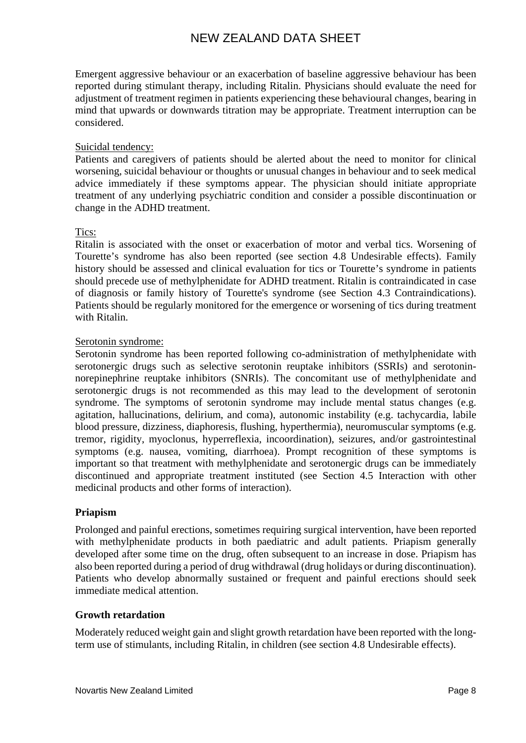Emergent aggressive behaviour or an exacerbation of baseline aggressive behaviour has been reported during stimulant therapy, including Ritalin. Physicians should evaluate the need for adjustment of treatment regimen in patients experiencing these behavioural changes, bearing in mind that upwards or downwards titration may be appropriate. Treatment interruption can be considered.

### Suicidal tendency:

Patients and caregivers of patients should be alerted about the need to monitor for clinical worsening, suicidal behaviour or thoughts or unusual changes in behaviour and to seek medical advice immediately if these symptoms appear. The physician should initiate appropriate treatment of any underlying psychiatric condition and consider a possible discontinuation or change in the ADHD treatment.

### Tics:

Ritalin is associated with the onset or exacerbation of motor and verbal tics. Worsening of Tourette's syndrome has also been reported (see section 4.8 Undesirable effects). Family history should be assessed and clinical evaluation for tics or Tourette's syndrome in patients should precede use of methylphenidate for ADHD treatment. Ritalin is contraindicated in case of diagnosis or family history of Tourette's syndrome (see Section 4.3 Contraindications). Patients should be regularly monitored for the emergence or worsening of tics during treatment with Ritalin.

### Serotonin syndrome:

Serotonin syndrome has been reported following co-administration of methylphenidate with serotonergic drugs such as selective serotonin reuptake inhibitors (SSRIs) and serotoninnorepinephrine reuptake inhibitors (SNRIs). The concomitant use of methylphenidate and serotonergic drugs is not recommended as this may lead to the development of serotonin syndrome. The symptoms of serotonin syndrome may include mental status changes (e.g. agitation, hallucinations, delirium, and coma), autonomic instability (e.g. tachycardia, labile blood pressure, dizziness, diaphoresis, flushing, hyperthermia), neuromuscular symptoms (e.g. tremor, rigidity, myoclonus, hyperreflexia, incoordination), seizures, and/or gastrointestinal symptoms (e.g. nausea, vomiting, diarrhoea). Prompt recognition of these symptoms is important so that treatment with methylphenidate and serotonergic drugs can be immediately discontinued and appropriate treatment instituted (see Section 4.5 Interaction with other medicinal products and other forms of interaction).

#### **Priapism**

Prolonged and painful erections, sometimes requiring surgical intervention, have been reported with methylphenidate products in both paediatric and adult patients. Priapism generally developed after some time on the drug, often subsequent to an increase in dose. Priapism has also been reported during a period of drug withdrawal (drug holidays or during discontinuation). Patients who develop abnormally sustained or frequent and painful erections should seek immediate medical attention.

#### **Growth retardation**

Moderately reduced weight gain and slight growth retardation have been reported with the longterm use of stimulants, including Ritalin, in children (see section 4.8 Undesirable effects).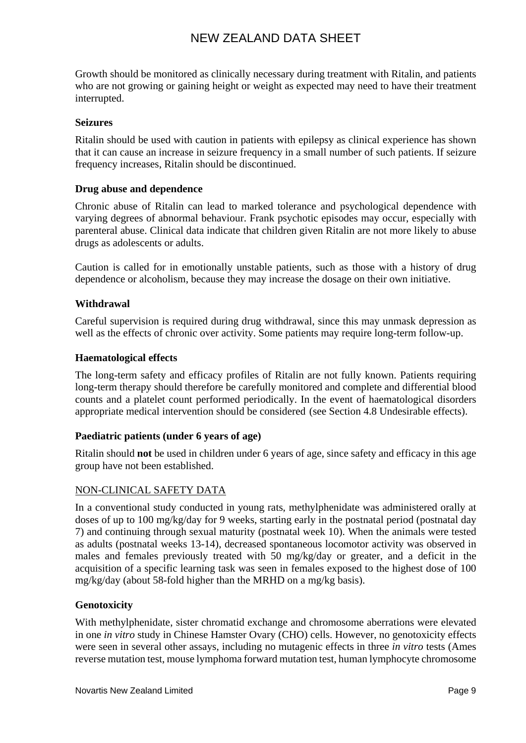Growth should be monitored as clinically necessary during treatment with Ritalin, and patients who are not growing or gaining height or weight as expected may need to have their treatment interrupted.

### **Seizures**

Ritalin should be used with caution in patients with epilepsy as clinical experience has shown that it can cause an increase in seizure frequency in a small number of such patients. If seizure frequency increases, Ritalin should be discontinued.

### **Drug abuse and dependence**

Chronic abuse of Ritalin can lead to marked tolerance and psychological dependence with varying degrees of abnormal behaviour. Frank psychotic episodes may occur, especially with parenteral abuse. Clinical data indicate that children given Ritalin are not more likely to abuse drugs as adolescents or adults.

Caution is called for in emotionally unstable patients, such as those with a history of drug dependence or alcoholism, because they may increase the dosage on their own initiative.

### **Withdrawal**

Careful supervision is required during drug withdrawal, since this may unmask depression as well as the effects of chronic over activity. Some patients may require long-term follow-up.

### **Haematological effects**

The long-term safety and efficacy profiles of Ritalin are not fully known. Patients requiring long-term therapy should therefore be carefully monitored and complete and differential blood counts and a platelet count performed periodically. In the event of haematological disorders appropriate medical intervention should be considered (see Section 4.8 Undesirable effects).

#### **Paediatric patients (under 6 years of age)**

Ritalin should **not** be used in children under 6 years of age, since safety and efficacy in this age group have not been established.

#### NON-CLINICAL SAFETY DATA

In a conventional study conducted in young rats, methylphenidate was administered orally at doses of up to 100 mg/kg/day for 9 weeks, starting early in the postnatal period (postnatal day 7) and continuing through sexual maturity (postnatal week 10). When the animals were tested as adults (postnatal weeks 13-14), decreased spontaneous locomotor activity was observed in males and females previously treated with 50 mg/kg/day or greater, and a deficit in the acquisition of a specific learning task was seen in females exposed to the highest dose of 100 mg/kg/day (about 58-fold higher than the MRHD on a mg/kg basis).

#### **Genotoxicity**

With methylphenidate, sister chromatid exchange and chromosome aberrations were elevated in one *in vitro* study in Chinese Hamster Ovary (CHO) cells. However, no genotoxicity effects were seen in several other assays, including no mutagenic effects in three *in vitro* tests (Ames reverse mutation test, mouse lymphoma forward mutation test, human lymphocyte chromosome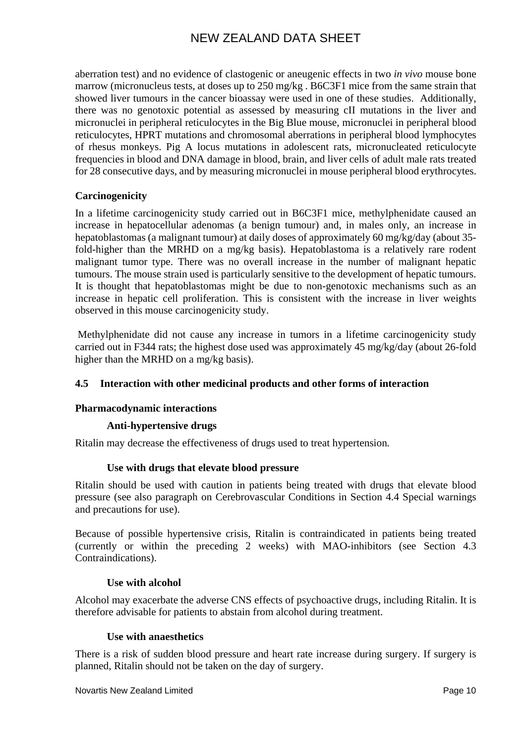aberration test) and no evidence of clastogenic or aneugenic effects in two *in vivo* mouse bone marrow (micronucleus tests, at doses up to 250 mg/kg, B6C3F1 mice from the same strain that showed liver tumours in the cancer bioassay were used in one of these studies. Additionally, there was no genotoxic potential as assessed by measuring cII mutations in the liver and micronuclei in peripheral reticulocytes in the Big Blue mouse, micronuclei in peripheral blood reticulocytes, HPRT mutations and chromosomal aberrations in peripheral blood lymphocytes of rhesus monkeys. Pig A locus mutations in adolescent rats, micronucleated reticulocyte frequencies in blood and DNA damage in blood, brain, and liver cells of adult male rats treated for 28 consecutive days, and by measuring micronuclei in mouse peripheral blood erythrocytes.

# **Carcinogenicity**

In a lifetime carcinogenicity study carried out in B6C3F1 mice, methylphenidate caused an increase in hepatocellular adenomas (a benign tumour) and, in males only, an increase in hepatoblastomas (a malignant tumour) at daily doses of approximately 60 mg/kg/day (about 35 fold-higher than the MRHD on a mg/kg basis). Hepatoblastoma is a relatively rare rodent malignant tumor type. There was no overall increase in the number of malignant hepatic tumours. The mouse strain used is particularly sensitive to the development of hepatic tumours. It is thought that hepatoblastomas might be due to non-genotoxic mechanisms such as an increase in hepatic cell proliferation. This is consistent with the increase in liver weights observed in this mouse carcinogenicity study.

Methylphenidate did not cause any increase in tumors in a lifetime carcinogenicity study carried out in F344 rats; the highest dose used was approximately 45 mg/kg/day (about 26-fold higher than the MRHD on a mg/kg basis).

# **4.5 Interaction with other medicinal products and other forms of interaction**

# **Pharmacodynamic interactions**

# **Anti-hypertensive drugs**

Ritalin may decrease the effectiveness of drugs used to treat hypertension*.*

#### **Use with drugs that elevate blood pressure**

Ritalin should be used with caution in patients being treated with drugs that elevate blood pressure (see also paragraph on Cerebrovascular Conditions in Section 4.4 Special warnings and precautions for use).

Because of possible hypertensive crisis, Ritalin is contraindicated in patients being treated (currently or within the preceding 2 weeks) with MAO-inhibitors (see Section 4.3 Contraindications).

#### **Use with alcohol**

Alcohol may exacerbate the adverse CNS effects of psychoactive drugs, including Ritalin. It is therefore advisable for patients to abstain from alcohol during treatment.

#### **Use with anaesthetics**

There is a risk of sudden blood pressure and heart rate increase during surgery. If surgery is planned, Ritalin should not be taken on the day of surgery.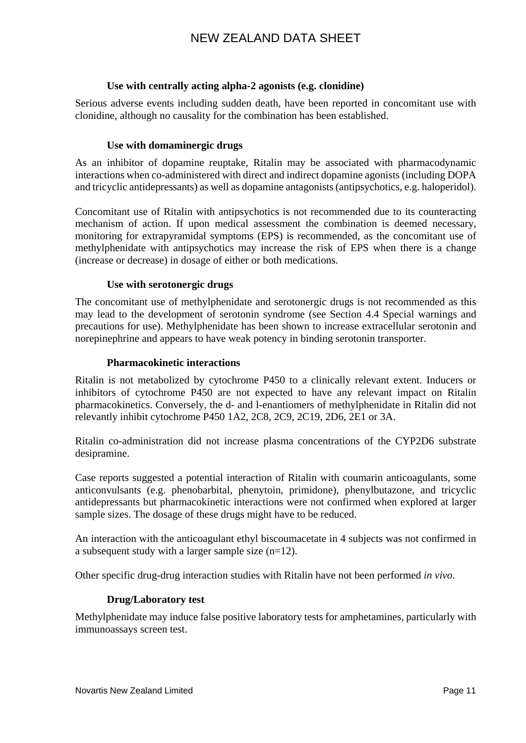### **Use with centrally acting alpha-2 agonists (e.g. clonidine)**

Serious adverse events including sudden death, have been reported in concomitant use with clonidine, although no causality for the combination has been established.

### **Use with domaminergic drugs**

As an inhibitor of dopamine reuptake, Ritalin may be associated with pharmacodynamic interactions when co-administered with direct and indirect dopamine agonists (including DOPA and tricyclic antidepressants) as well as dopamine antagonists (antipsychotics, e.g. haloperidol).

Concomitant use of Ritalin with antipsychotics is not recommended due to its counteracting mechanism of action. If upon medical assessment the combination is deemed necessary, monitoring for extrapyramidal symptoms (EPS) is recommended, as the concomitant use of methylphenidate with antipsychotics may increase the risk of EPS when there is a change (increase or decrease) in dosage of either or both medications.

#### **Use with serotonergic drugs**

The concomitant use of methylphenidate and serotonergic drugs is not recommended as this may lead to the development of serotonin syndrome (see Section 4.4 Special warnings and precautions for use). Methylphenidate has been shown to increase extracellular serotonin and norepinephrine and appears to have weak potency in binding serotonin transporter.

### **Pharmacokinetic interactions**

Ritalin is not metabolized by cytochrome P450 to a clinically relevant extent. Inducers or inhibitors of cytochrome P450 are not expected to have any relevant impact on Ritalin pharmacokinetics. Conversely, the d- and l-enantiomers of methylphenidate in Ritalin did not relevantly inhibit cytochrome P450 1A2, 2C8, 2C9, 2C19, 2D6, 2E1 or 3A.

Ritalin co-administration did not increase plasma concentrations of the CYP2D6 substrate desipramine.

Case reports suggested a potential interaction of Ritalin with coumarin anticoagulants, some anticonvulsants (e.g. phenobarbital, phenytoin, primidone), phenylbutazone, and tricyclic antidepressants but pharmacokinetic interactions were not confirmed when explored at larger sample sizes. The dosage of these drugs might have to be reduced.

An interaction with the anticoagulant ethyl biscoumacetate in 4 subjects was not confirmed in a subsequent study with a larger sample size (n=12).

Other specific drug-drug interaction studies with Ritalin have not been performed *in vivo*.

# **Drug/Laboratory test**

Methylphenidate may induce false positive laboratory tests for amphetamines, particularly with immunoassays screen test.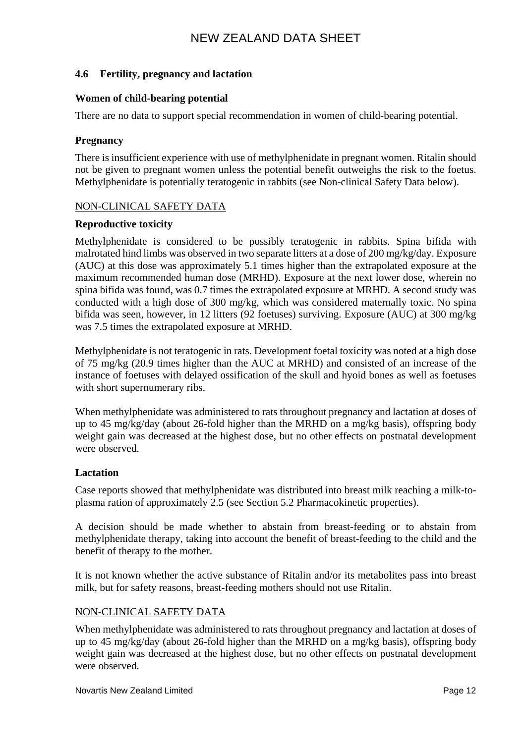## **4.6 Fertility, pregnancy and lactation**

#### **Women of child-bearing potential**

There are no data to support special recommendation in women of child-bearing potential.

#### **Pregnancy**

There is insufficient experience with use of methylphenidate in pregnant women. Ritalin should not be given to pregnant women unless the potential benefit outweighs the risk to the foetus. Methylphenidate is potentially teratogenic in rabbits (see Non-clinical Safety Data below).

#### NON-CLINICAL SAFETY DATA

#### **Reproductive toxicity**

Methylphenidate is considered to be possibly teratogenic in rabbits. Spina bifida with malrotated hind limbs was observed in two separate litters at a dose of 200 mg/kg/day. Exposure (AUC) at this dose was approximately 5.1 times higher than the extrapolated exposure at the maximum recommended human dose (MRHD). Exposure at the next lower dose, wherein no spina bifida was found, was 0.7 times the extrapolated exposure at MRHD. A second study was conducted with a high dose of 300 mg/kg, which was considered maternally toxic. No spina bifida was seen, however, in 12 litters (92 foetuses) surviving. Exposure (AUC) at 300 mg/kg was 7.5 times the extrapolated exposure at MRHD.

Methylphenidate is not teratogenic in rats. Development foetal toxicity was noted at a high dose of 75 mg/kg (20.9 times higher than the AUC at MRHD) and consisted of an increase of the instance of foetuses with delayed ossification of the skull and hyoid bones as well as foetuses with short supernumerary ribs.

When methylphenidate was administered to rats throughout pregnancy and lactation at doses of up to 45 mg/kg/day (about 26-fold higher than the MRHD on a mg/kg basis), offspring body weight gain was decreased at the highest dose, but no other effects on postnatal development were observed.

#### **Lactation**

Case reports showed that methylphenidate was distributed into breast milk reaching a milk-toplasma ration of approximately 2.5 (see Section 5.2 Pharmacokinetic properties).

A decision should be made whether to abstain from breast-feeding or to abstain from methylphenidate therapy, taking into account the benefit of breast-feeding to the child and the benefit of therapy to the mother.

It is not known whether the active substance of Ritalin and/or its metabolites pass into breast milk, but for safety reasons, breast-feeding mothers should not use Ritalin.

#### NON-CLINICAL SAFETY DATA

When methylphenidate was administered to rats throughout pregnancy and lactation at doses of up to 45 mg/kg/day (about 26-fold higher than the MRHD on a mg/kg basis), offspring body weight gain was decreased at the highest dose, but no other effects on postnatal development were observed.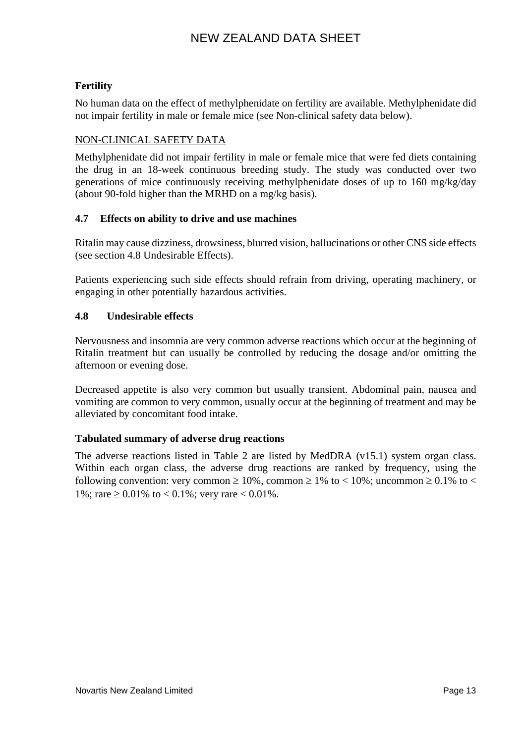# **Fertility**

No human data on the effect of methylphenidate on fertility are available. Methylphenidate did not impair fertility in male or female mice (see Non-clinical safety data below).

# NON-CLINICAL SAFETY DATA

Methylphenidate did not impair fertility in male or female mice that were fed diets containing the drug in an 18-week continuous breeding study. The study was conducted over two generations of mice continuously receiving methylphenidate doses of up to 160 mg/kg/day (about 90-fold higher than the MRHD on a mg/kg basis).

# **4.7 Effects on ability to drive and use machines**

Ritalin may cause dizziness, drowsiness, blurred vision, hallucinations or other CNS side effects (see section 4.8 Undesirable Effects).

Patients experiencing such side effects should refrain from driving, operating machinery, or engaging in other potentially hazardous activities.

# **4.8 Undesirable effects**

Nervousness and insomnia are very common adverse reactions which occur at the beginning of Ritalin treatment but can usually be controlled by reducing the dosage and/or omitting the afternoon or evening dose.

Decreased appetite is also very common but usually transient. Abdominal pain, nausea and vomiting are common to very common, usually occur at the beginning of treatment and may be alleviated by concomitant food intake.

# **Tabulated summary of adverse drug reactions**

The adverse reactions listed in Table 2 are listed by MedDRA (v15.1) system organ class. Within each organ class, the adverse drug reactions are ranked by frequency, using the following convention: very common  $\geq 10\%$ , common  $\geq 1\%$  to  $\lt 10\%$ ; uncommon  $\geq 0.1\%$  to  $\lt$ 1%; rare ≥ 0.01% to < 0.1%; very rare < 0.01%.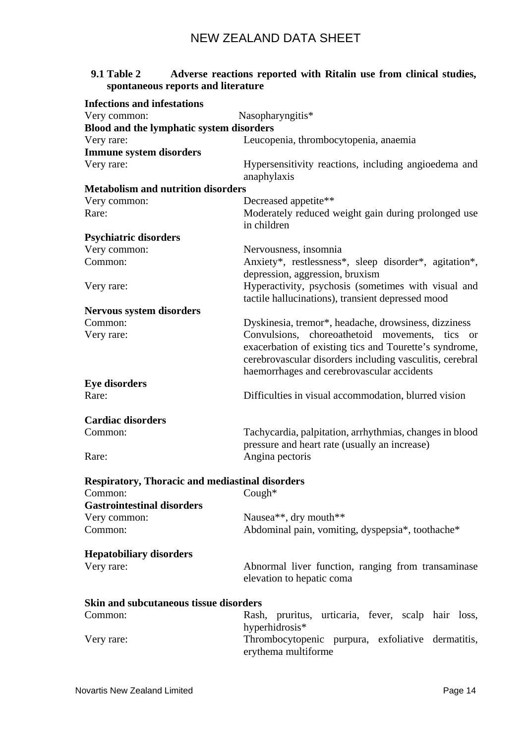| <b>9.1 Table 2</b><br>spontaneous reports and literature | Adverse reactions reported with Ritalin use from clinical studies,                                                                                                                                                 |
|----------------------------------------------------------|--------------------------------------------------------------------------------------------------------------------------------------------------------------------------------------------------------------------|
| <b>Infections and infestations</b>                       |                                                                                                                                                                                                                    |
| Very common:                                             | Nasopharyngitis*                                                                                                                                                                                                   |
| Blood and the lymphatic system disorders                 |                                                                                                                                                                                                                    |
| Very rare:                                               | Leucopenia, thrombocytopenia, anaemia                                                                                                                                                                              |
| <b>Immune system disorders</b>                           |                                                                                                                                                                                                                    |
| Very rare:                                               | Hypersensitivity reactions, including angioedema and<br>anaphylaxis                                                                                                                                                |
| <b>Metabolism and nutrition disorders</b>                |                                                                                                                                                                                                                    |
| Very common:                                             | Decreased appetite**                                                                                                                                                                                               |
| Rare:                                                    | Moderately reduced weight gain during prolonged use<br>in children                                                                                                                                                 |
| <b>Psychiatric disorders</b>                             |                                                                                                                                                                                                                    |
| Very common:                                             | Nervousness, insomnia                                                                                                                                                                                              |
| Common:                                                  | Anxiety*, restlessness*, sleep disorder*, agitation*,                                                                                                                                                              |
|                                                          | depression, aggression, bruxism                                                                                                                                                                                    |
| Very rare:                                               | Hyperactivity, psychosis (sometimes with visual and<br>tactile hallucinations), transient depressed mood                                                                                                           |
| Nervous system disorders                                 |                                                                                                                                                                                                                    |
| Common:                                                  | Dyskinesia, tremor*, headache, drowsiness, dizziness                                                                                                                                                               |
| Very rare:                                               | Convulsions, choreoathetoid movements, tics or<br>exacerbation of existing tics and Tourette's syndrome,<br>cerebrovascular disorders including vasculitis, cerebral<br>haemorrhages and cerebrovascular accidents |
| <b>Eye disorders</b>                                     |                                                                                                                                                                                                                    |
| Rare:                                                    | Difficulties in visual accommodation, blurred vision                                                                                                                                                               |
| <b>Cardiac disorders</b>                                 |                                                                                                                                                                                                                    |
| Common:                                                  | Tachycardia, palpitation, arrhythmias, changes in blood                                                                                                                                                            |
|                                                          | pressure and heart rate (usually an increase)                                                                                                                                                                      |
| Rare:                                                    | Angina pectoris                                                                                                                                                                                                    |
| <b>Respiratory, Thoracic and mediastinal disorders</b>   |                                                                                                                                                                                                                    |
| Common:                                                  | Cough*                                                                                                                                                                                                             |
| <b>Gastrointestinal disorders</b>                        |                                                                                                                                                                                                                    |
| Very common:                                             | Nausea**, dry mouth**                                                                                                                                                                                              |
| Common:                                                  | Abdominal pain, vomiting, dyspepsia*, toothache*                                                                                                                                                                   |
| <b>Hepatobiliary disorders</b>                           |                                                                                                                                                                                                                    |
| Very rare:                                               | Abnormal liver function, ranging from transaminase<br>elevation to hepatic coma                                                                                                                                    |
|                                                          |                                                                                                                                                                                                                    |

| Skin and subcutaneous tissue disorders |                                                                          |
|----------------------------------------|--------------------------------------------------------------------------|
| Common:                                | Rash, pruritus, urticaria, fever, scalp hair loss,                       |
|                                        | hyperhidrosis <sup>*</sup>                                               |
| Very rare:                             | Thrombocytopenic purpura, exfoliative dermatitis,<br>erythema multiforme |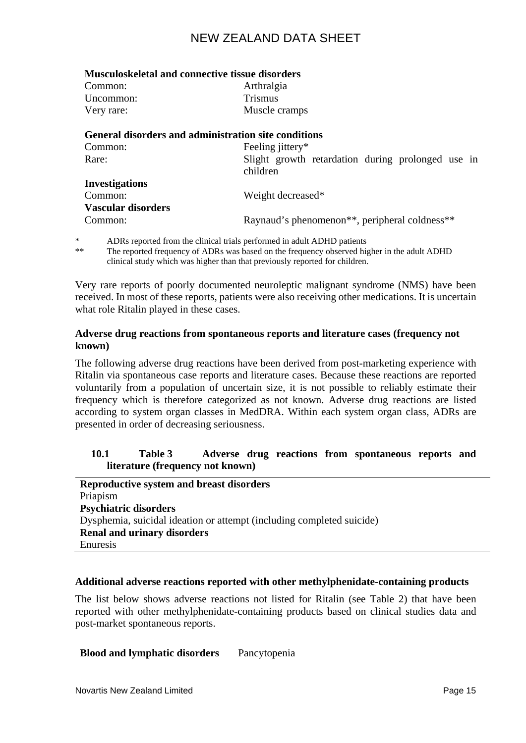| <b>Musculoskeletal and connective tissue disorders</b> |                                                                        |
|--------------------------------------------------------|------------------------------------------------------------------------|
| Common:                                                | Arthralgia                                                             |
| Uncommon:                                              | <b>Trismus</b>                                                         |
| Very rare:                                             | Muscle cramps                                                          |
|                                                        | General disorders and administration site conditions                   |
| Common:                                                | Feeling jittery*                                                       |
| Rare:                                                  | Slight growth retardation during prolonged use in                      |
|                                                        | children                                                               |
| <b>Investigations</b>                                  |                                                                        |
| Common:                                                | Weight decreased*                                                      |
| <b>Vascular disorders</b>                              |                                                                        |
| Common:                                                | Raynaud's phenomenon <sup>**</sup> , peripheral coldness <sup>**</sup> |
|                                                        |                                                                        |

\* ADRs reported from the clinical trials performed in adult ADHD patients The reported frequency of ADRs was based on the frequency observed higher in the adult ADHD clinical study which was higher than that previously reported for children.

Very rare reports of poorly documented neuroleptic malignant syndrome (NMS) have been received. In most of these reports, patients were also receiving other medications. It is uncertain what role Ritalin played in these cases.

### **Adverse drug reactions from spontaneous reports and literature cases (frequency not known)**

The following adverse drug reactions have been derived from post-marketing experience with Ritalin via spontaneous case reports and literature cases. Because these reactions are reported voluntarily from a population of uncertain size, it is not possible to reliably estimate their frequency which is therefore categorized as not known. Adverse drug reactions are listed according to system organ classes in [MedDRA.](http://www.dmsii.pharma.novartis.intra/meddra_llt_pt.jsp) Within each system organ class, ADRs are presented in order of decreasing seriousness.

### **10.1 Table 3 Adverse drug reactions from spontaneous reports and literature (frequency not known)**

| <b>Reproductive system and breast disorders</b>                       |
|-----------------------------------------------------------------------|
| Priapism                                                              |
| <b>Psychiatric disorders</b>                                          |
| Dysphemia, suicidal ideation or attempt (including completed suicide) |
| <b>Renal and urinary disorders</b>                                    |
| Enuresis                                                              |

#### **Additional adverse reactions reported with other methylphenidate-containing products**

The list below shows adverse reactions not listed for Ritalin (see Table 2) that have been reported with other methylphenidate-containing products based on clinical studies data and post-market spontaneous reports.

#### **Blood and lymphatic disorders** Pancytopenia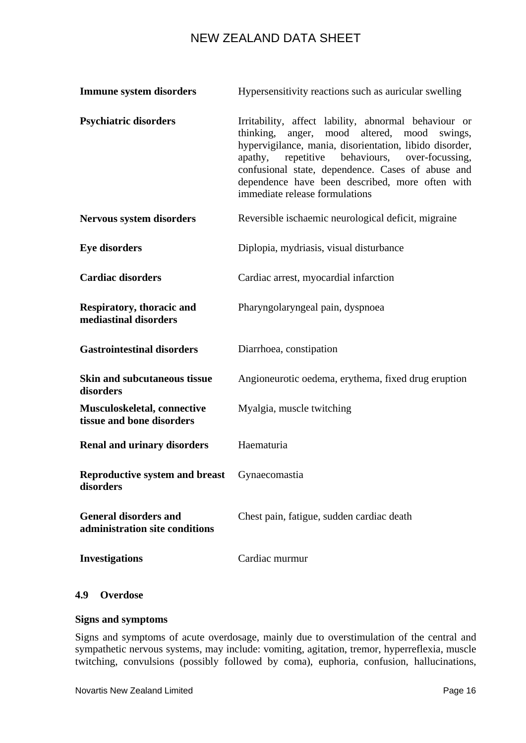| <b>Immune system disorders</b>                                 | Hypersensitivity reactions such as auricular swelling                                                                                                                                                                                                                                                                                                            |  |  |  |
|----------------------------------------------------------------|------------------------------------------------------------------------------------------------------------------------------------------------------------------------------------------------------------------------------------------------------------------------------------------------------------------------------------------------------------------|--|--|--|
| <b>Psychiatric disorders</b>                                   | Irritability, affect lability, abnormal behaviour or<br>anger, mood altered, mood swings,<br>thinking,<br>hypervigilance, mania, disorientation, libido disorder,<br>repetitive behaviours, over-focussing,<br>apathy,<br>confusional state, dependence. Cases of abuse and<br>dependence have been described, more often with<br>immediate release formulations |  |  |  |
| Nervous system disorders                                       | Reversible ischaemic neurological deficit, migraine                                                                                                                                                                                                                                                                                                              |  |  |  |
| <b>Eye disorders</b>                                           | Diplopia, mydriasis, visual disturbance                                                                                                                                                                                                                                                                                                                          |  |  |  |
| <b>Cardiac disorders</b>                                       | Cardiac arrest, myocardial infarction                                                                                                                                                                                                                                                                                                                            |  |  |  |
| Respiratory, thoracic and<br>mediastinal disorders             | Pharyngolaryngeal pain, dyspnoea                                                                                                                                                                                                                                                                                                                                 |  |  |  |
| <b>Gastrointestinal disorders</b>                              | Diarrhoea, constipation                                                                                                                                                                                                                                                                                                                                          |  |  |  |
| <b>Skin and subcutaneous tissue</b><br>disorders               | Angioneurotic oedema, erythema, fixed drug eruption                                                                                                                                                                                                                                                                                                              |  |  |  |
| Musculoskeletal, connective<br>tissue and bone disorders       | Myalgia, muscle twitching                                                                                                                                                                                                                                                                                                                                        |  |  |  |
| <b>Renal and urinary disorders</b>                             | Haematuria                                                                                                                                                                                                                                                                                                                                                       |  |  |  |
| <b>Reproductive system and breast</b><br>disorders             | Gynaecomastia                                                                                                                                                                                                                                                                                                                                                    |  |  |  |
| <b>General disorders and</b><br>administration site conditions | Chest pain, fatigue, sudden cardiac death                                                                                                                                                                                                                                                                                                                        |  |  |  |
| <b>Investigations</b>                                          | Cardiac murmur                                                                                                                                                                                                                                                                                                                                                   |  |  |  |

# **4.9 Overdose**

#### **Signs and symptoms**

Signs and symptoms of acute overdosage, mainly due to overstimulation of the central and sympathetic nervous systems, may include: vomiting, agitation, tremor, hyperreflexia, muscle twitching, convulsions (possibly followed by coma), euphoria, confusion, hallucinations,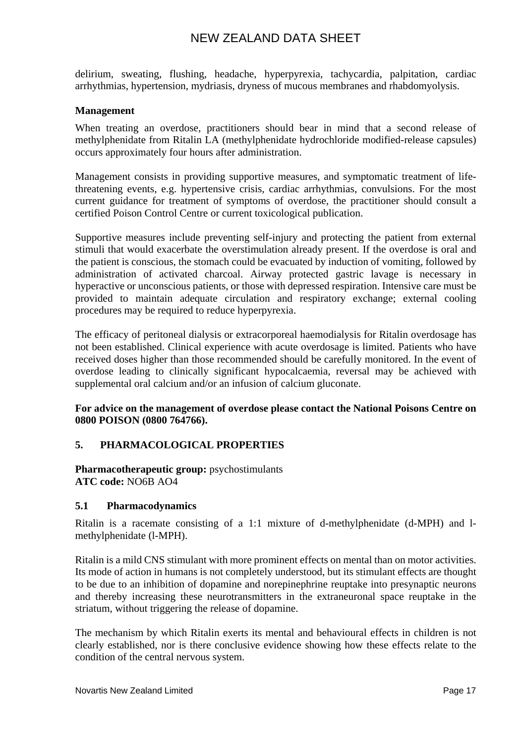delirium, sweating, flushing, headache, hyperpyrexia, tachycardia, palpitation, cardiac arrhythmias, hypertension, mydriasis, dryness of mucous membranes and rhabdomyolysis.

### **Management**

When treating an overdose, practitioners should bear in mind that a second release of methylphenidate from Ritalin LA (methylphenidate hydrochloride modified-release capsules) occurs approximately four hours after administration.

Management consists in providing supportive measures, and symptomatic treatment of lifethreatening events, e.g. hypertensive crisis, cardiac arrhythmias, convulsions. For the most current guidance for treatment of symptoms of overdose, the practitioner should consult a certified Poison Control Centre or current toxicological publication.

Supportive measures include preventing self-injury and protecting the patient from external stimuli that would exacerbate the overstimulation already present. If the overdose is oral and the patient is conscious, the stomach could be evacuated by induction of vomiting, followed by administration of activated charcoal. Airway protected gastric lavage is necessary in hyperactive or unconscious patients, or those with depressed respiration. Intensive care must be provided to maintain adequate circulation and respiratory exchange; external cooling procedures may be required to reduce hyperpyrexia.

The efficacy of peritoneal dialysis or extracorporeal haemodialysis for Ritalin overdosage has not been established. Clinical experience with acute overdosage is limited. Patients who have received doses higher than those recommended should be carefully monitored. In the event of overdose leading to clinically significant hypocalcaemia, reversal may be achieved with supplemental oral calcium and/or an infusion of calcium gluconate.

#### **For advice on the management of overdose please contact the National Poisons Centre on 0800 POISON (0800 764766).**

# **5. PHARMACOLOGICAL PROPERTIES**

**Pharmacotherapeutic group:** psychostimulants **ATC code:** NO6B AO4

#### **5.1 Pharmacodynamics**

Ritalin is a racemate consisting of a 1:1 mixture of d-methylphenidate (d-MPH) and lmethylphenidate (l-MPH).

Ritalin is a mild CNS stimulant with more prominent effects on mental than on motor activities. Its mode of action in humans is not completely understood, but its stimulant effects are thought to be due to an inhibition of dopamine and norepinephrine reuptake into presynaptic neurons and thereby increasing these neurotransmitters in the extraneuronal space reuptake in the striatum, without triggering the release of dopamine.

The mechanism by which Ritalin exerts its mental and behavioural effects in children is not clearly established, nor is there conclusive evidence showing how these effects relate to the condition of the central nervous system.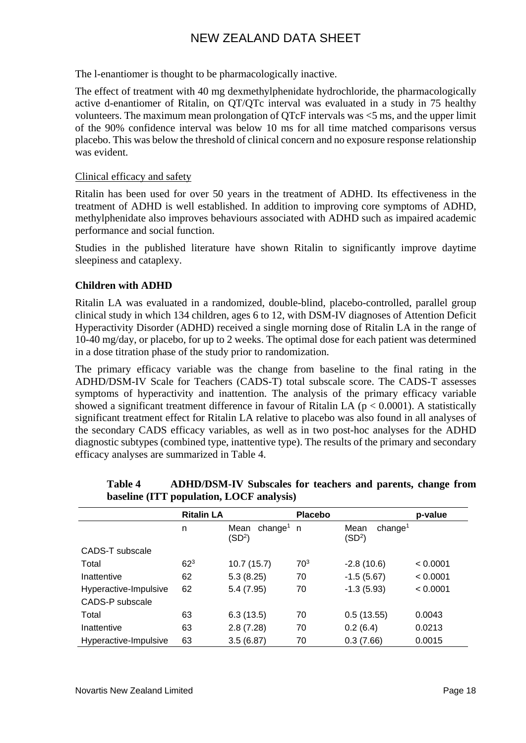The l-enantiomer is thought to be pharmacologically inactive.

The effect of treatment with 40 mg dexmethylphenidate hydrochloride, the pharmacologically active d-enantiomer of Ritalin, on QT/QTc interval was evaluated in a study in 75 healthy volunteers. The maximum mean prolongation of QTcF intervals was <5 ms, and the upper limit of the 90% confidence interval was below 10 ms for all time matched comparisons versus placebo. This was below the threshold of clinical concern and no exposure response relationship was evident.

### Clinical efficacy and safety

Ritalin has been used for over 50 years in the treatment of ADHD. Its effectiveness in the treatment of ADHD is well established. In addition to improving core symptoms of ADHD, methylphenidate also improves behaviours associated with ADHD such as impaired academic performance and social function.

Studies in the published literature have shown Ritalin to significantly improve daytime sleepiness and cataplexy.

# **Children with ADHD**

Ritalin LA was evaluated in a randomized, double-blind, placebo-controlled, parallel group clinical study in which 134 children, ages 6 to 12, with DSM-IV diagnoses of Attention Deficit Hyperactivity Disorder (ADHD) received a single morning dose of Ritalin LA in the range of 10-40 mg/day, or placebo, for up to 2 weeks. The optimal dose for each patient was determined in a dose titration phase of the study prior to randomization.

The primary efficacy variable was the change from baseline to the final rating in the ADHD/DSM-IV Scale for Teachers (CADS-T) total subscale score. The CADS-T assesses symptoms of hyperactivity and inattention. The analysis of the primary efficacy variable showed a significant treatment difference in favour of Ritalin LA ( $p < 0.0001$ ). A statistically significant treatment effect for Ritalin LA relative to placebo was also found in all analyses of the secondary CADS efficacy variables, as well as in two post-hoc analyses for the ADHD diagnostic subtypes (combined type, inattentive type). The results of the primary and secondary efficacy analyses are summarized in Table 4.

|                       | <b>Ritalin LA</b> |                                                   | <b>Placebo</b>  |                                                   | p-value  |
|-----------------------|-------------------|---------------------------------------------------|-----------------|---------------------------------------------------|----------|
|                       | n                 | Mean<br>change <sup>1</sup><br>(SD <sup>2</sup> ) | n,              | Mean<br>change <sup>1</sup><br>(SD <sup>2</sup> ) |          |
| CADS-T subscale       |                   |                                                   |                 |                                                   |          |
| Total                 | 62 <sup>3</sup>   | 10.7(15.7)                                        | 70 <sup>3</sup> | $-2.8(10.6)$                                      | < 0.0001 |
| Inattentive           | 62                | 5.3(8.25)                                         | 70              | $-1.5(5.67)$                                      | < 0.0001 |
| Hyperactive-Impulsive | 62                | 5.4(7.95)                                         | 70              | $-1.3(5.93)$                                      | < 0.0001 |
| CADS-P subscale       |                   |                                                   |                 |                                                   |          |
| Total                 | 63                | 6.3(13.5)                                         | 70              | 0.5(13.55)                                        | 0.0043   |
| Inattentive           | 63                | 2.8(7.28)                                         | 70              | 0.2(6.4)                                          | 0.0213   |
| Hyperactive-Impulsive | 63                | 3.5(6.87)                                         | 70              | 0.3(7.66)                                         | 0.0015   |

**Table 4 ADHD/DSM-IV Subscales for teachers and parents, change from baseline (ITT population, LOCF analysis)**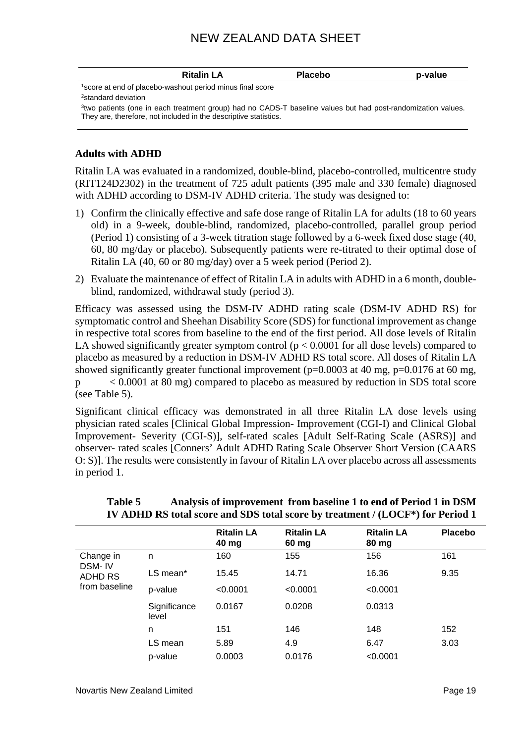|                                                                       | <b>Ritalin LA</b> | <b>Placebo</b>                                                                                                           | p-value |
|-----------------------------------------------------------------------|-------------------|--------------------------------------------------------------------------------------------------------------------------|---------|
| <sup>1</sup> score at end of placebo-washout period minus final score |                   |                                                                                                                          |         |
| <sup>2</sup> standard deviation                                       |                   |                                                                                                                          |         |
| They are, therefore, not included in the descriptive statistics.      |                   | <sup>3</sup> two patients (one in each treatment group) had no CADS-T baseline values but had post-randomization values. |         |
|                                                                       |                   |                                                                                                                          |         |

### **Adults with ADHD**

Ritalin LA was evaluated in a randomized, double-blind, placebo-controlled, multicentre study (RIT124D2302) in the treatment of 725 adult patients (395 male and 330 female) diagnosed with ADHD according to DSM-IV ADHD criteria. The study was designed to:

- 1) Confirm the clinically effective and safe dose range of Ritalin LA for adults (18 to 60 years old) in a 9-week, double-blind, randomized, placebo-controlled, parallel group period (Period 1) consisting of a 3-week titration stage followed by a 6-week fixed dose stage (40, 60, 80 mg/day or placebo). Subsequently patients were re-titrated to their optimal dose of Ritalin LA (40, 60 or 80 mg/day) over a 5 week period (Period 2).
- 2) Evaluate the maintenance of effect of Ritalin LA in adults with ADHD in a 6 month, doubleblind, randomized, withdrawal study (period 3).

Efficacy was assessed using the DSM-IV ADHD rating scale (DSM-IV ADHD RS) for symptomatic control and Sheehan Disability Score (SDS) for functional improvement as change in respective total scores from baseline to the end of the first period. All dose levels of Ritalin LA showed significantly greater symptom control  $(p < 0.0001$  for all dose levels) compared to placebo as measured by a reduction in DSM-IV ADHD RS total score. All doses of Ritalin LA showed significantly greater functional improvement ( $p=0.0003$  at 40 mg,  $p=0.0176$  at 60 mg, p < 0.0001 at 80 mg) compared to placebo as measured by reduction in SDS total score (see Table 5).

Significant clinical efficacy was demonstrated in all three Ritalin LA dose levels using physician rated scales [Clinical Global Impression- Improvement (CGI-I) and Clinical Global Improvement- Severity (CGI-S)], self-rated scales [Adult Self-Rating Scale (ASRS)] and observer- rated scales [Conners' Adult ADHD Rating Scale Observer Short Version (CAARS O: S)]. The results were consistently in favour of Ritalin LA over placebo across all assessments in period 1.

|                   |                       | <b>Ritalin LA</b><br>40 mg | <b>Ritalin LA</b><br>60 mg | <b>Ritalin LA</b><br>80 mg | <b>Placebo</b> |
|-------------------|-----------------------|----------------------------|----------------------------|----------------------------|----------------|
| Change in         | n                     | 160                        | 155                        | 156                        | 161            |
| DSM-IV<br>ADHD RS | LS mean*              | 15.45                      | 14.71                      | 16.36                      | 9.35           |
| from baseline     | p-value               | < 0.0001                   | < 0.0001                   | < 0.0001                   |                |
|                   | Significance<br>level | 0.0167                     | 0.0208                     | 0.0313                     |                |
|                   | n                     | 151                        | 146                        | 148                        | 152            |
|                   | LS mean               | 5.89                       | 4.9                        | 6.47                       | 3.03           |
|                   | p-value               | 0.0003                     | 0.0176                     | < 0.0001                   |                |

# **Table 5 Analysis of improvement from baseline 1 to end of Period 1 in DSM IV ADHD RS total score and SDS total score by treatment / (LOCF\*) for Period 1**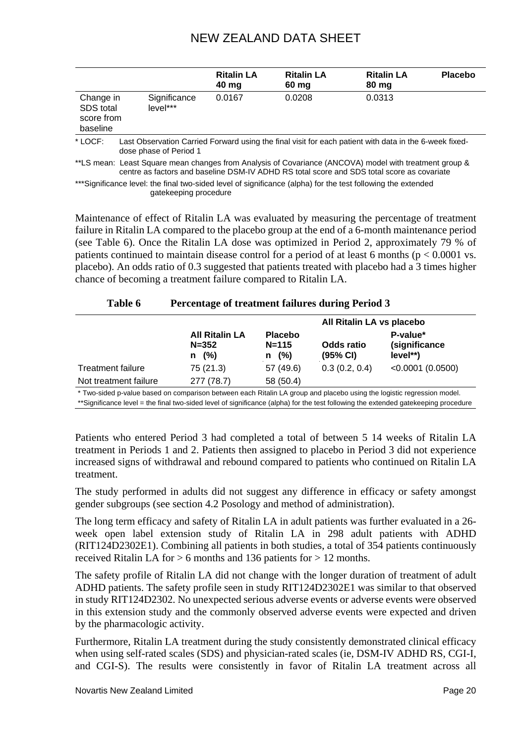|                                                  |                                                                                                                                  | <b>Ritalin LA</b><br>40 mg | <b>Ritalin LA</b><br>60 mg | <b>Ritalin LA</b><br>80 mg | <b>Placebo</b> |
|--------------------------------------------------|----------------------------------------------------------------------------------------------------------------------------------|----------------------------|----------------------------|----------------------------|----------------|
| Change in<br>SDS total<br>score from<br>baseline | Significance<br>level***                                                                                                         | 0.0167                     | 0.0208                     | 0.0313                     |                |
| * LOCF:                                          | Last Observation Carried Forward using the final visit for each patient with data in the 6-week fixed-<br>dose phase of Period 1 |                            |                            |                            |                |

\*\*LS mean: Least Square mean changes from Analysis of Covariance (ANCOVA) model with treatment group & centre as factors and baseline DSM-IV ADHD RS total score and SDS total score as covariate

\*\*\*Significance level: the final two-sided level of significance (alpha) for the test following the extended gatekeeping procedure

**Table 6 Percentage of treatment failures during Period 3** 

Maintenance of effect of Ritalin LA was evaluated by measuring the percentage of treatment failure in Ritalin LA compared to the placebo group at the end of a 6-month maintenance period (see Table 6). Once the Ritalin LA dose was optimized in Period 2, approximately 79 % of patients continued to maintain disease control for a period of at least 6 months ( $p < 0.0001$  vs. placebo). An odds ratio of 0.3 suggested that patients treated with placebo had a 3 times higher chance of becoming a treatment failure compared to Ritalin LA.

| 1 avie v                 | Percentage of treatment failures during Period 5                                                                    |                                         |                        |                                        |  |
|--------------------------|---------------------------------------------------------------------------------------------------------------------|-----------------------------------------|------------------------|----------------------------------------|--|
|                          |                                                                                                                     | All Ritalin LA vs placebo               |                        |                                        |  |
|                          | <b>All Ritalin LA</b><br>$N = 352$<br>$n \quad (%)$                                                                 | <b>Placebo</b><br>$N = 115$<br>(%)<br>n | Odds ratio<br>(95% CI) | P-value*<br>(significance<br>$level**$ |  |
| <b>Treatment failure</b> | 75(21.3)                                                                                                            | 57 (49.6)                               | 0.3(0.2, 0.4)          | $< 0.0001$ (0.0500)                    |  |
| Not treatment failure    | 277 (78.7)                                                                                                          | 58 (50.4)                               |                        |                                        |  |
|                          | Two-sided n-value based on comparison between each Ritalin LA group and placebo using the logistic regression model |                                         |                        |                                        |  |

\* Two-sided p-value based on comparison between each Ritalin LA group and placebo using the logistic regression model. \*\*Significance level = the final two-sided level of significance (alpha) for the test following the extended gatekeeping procedure

Patients who entered Period 3 had completed a total of between 5 14 weeks of Ritalin LA treatment in Periods 1 and 2. Patients then assigned to placebo in Period 3 did not experience increased signs of withdrawal and rebound compared to patients who continued on Ritalin LA treatment.

The study performed in adults did not suggest any difference in efficacy or safety amongst gender subgroups (see section 4.2 Posology and method of administration).

The long term efficacy and safety of Ritalin LA in adult patients was further evaluated in a 26 week open label extension study of Ritalin LA in 298 adult patients with ADHD (RIT124D2302E1). Combining all patients in both studies, a total of 354 patients continuously received Ritalin LA for > 6 months and 136 patients for > 12 months.

The safety profile of Ritalin LA did not change with the longer duration of treatment of adult ADHD patients. The safety profile seen in study RIT124D2302E1 was similar to that observed in study RIT124D2302. No unexpected serious adverse events or adverse events were observed in this extension study and the commonly observed adverse events were expected and driven by the pharmacologic activity.

Furthermore, Ritalin LA treatment during the study consistently demonstrated clinical efficacy when using self-rated scales (SDS) and physician-rated scales (ie, DSM-IV ADHD RS, CGI-I, and CGI-S). The results were consistently in favor of Ritalin LA treatment across all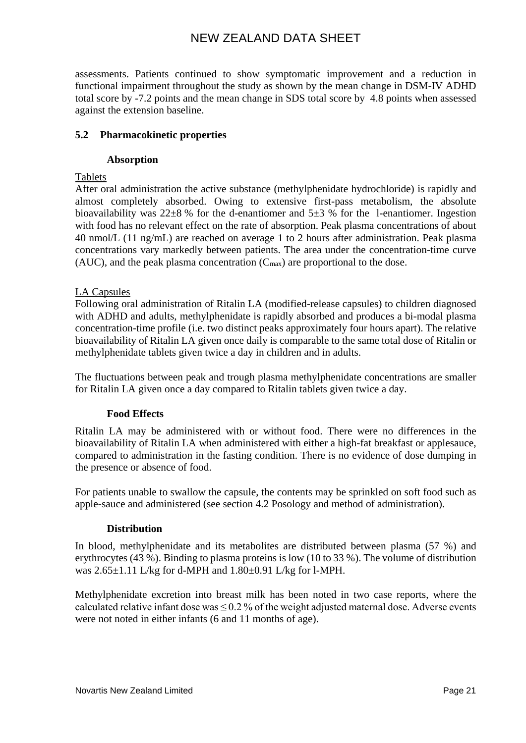assessments. Patients continued to show symptomatic improvement and a reduction in functional impairment throughout the study as shown by the mean change in DSM-IV ADHD total score by -7.2 points and the mean change in SDS total score by 4.8 points when assessed against the extension baseline.

## **5.2 Pharmacokinetic properties**

#### **Absorption**

Tablets

After oral administration the active substance (methylphenidate hydrochloride) is rapidly and almost completely absorbed. Owing to extensive first-pass metabolism, the absolute bioavailability was  $22\pm8$  % for the d-enantiomer and  $5\pm3$  % for the 1-enantiomer. Ingestion with food has no relevant effect on the rate of absorption. Peak plasma concentrations of about 40 nmol/L (11 ng/mL) are reached on average 1 to 2 hours after administration. Peak plasma concentrations vary markedly between patients. The area under the concentration-time curve (AUC), and the peak plasma concentration  $(C_{\text{max}})$  are proportional to the dose.

#### LA Capsules

Following oral administration of Ritalin LA (modified-release capsules) to children diagnosed with ADHD and adults, methylphenidate is rapidly absorbed and produces a bi-modal plasma concentration-time profile (i.e. two distinct peaks approximately four hours apart). The relative bioavailability of Ritalin LA given once daily is comparable to the same total dose of Ritalin or methylphenidate tablets given twice a day in children and in adults.

The fluctuations between peak and trough plasma methylphenidate concentrations are smaller for Ritalin LA given once a day compared to Ritalin tablets given twice a day.

#### **Food Effects**

Ritalin LA may be administered with or without food. There were no differences in the bioavailability of Ritalin LA when administered with either a high-fat breakfast or applesauce, compared to administration in the fasting condition. There is no evidence of dose dumping in the presence or absence of food.

For patients unable to swallow the capsule, the contents may be sprinkled on soft food such as apple-sauce and administered (see section 4.2 Posology and method of administration).

#### **Distribution**

In blood, methylphenidate and its metabolites are distributed between plasma (57 %) and erythrocytes (43 %). Binding to plasma proteins is low (10 to 33 %). The volume of distribution was 2.65±1.11 L/kg for d-MPH and 1.80±0.91 L/kg for l-MPH.

Methylphenidate excretion into breast milk has been noted in two case reports, where the calculated relative infant dose was  $\leq 0.2$  % of the weight adjusted maternal dose. Adverse events were not noted in either infants (6 and 11 months of age).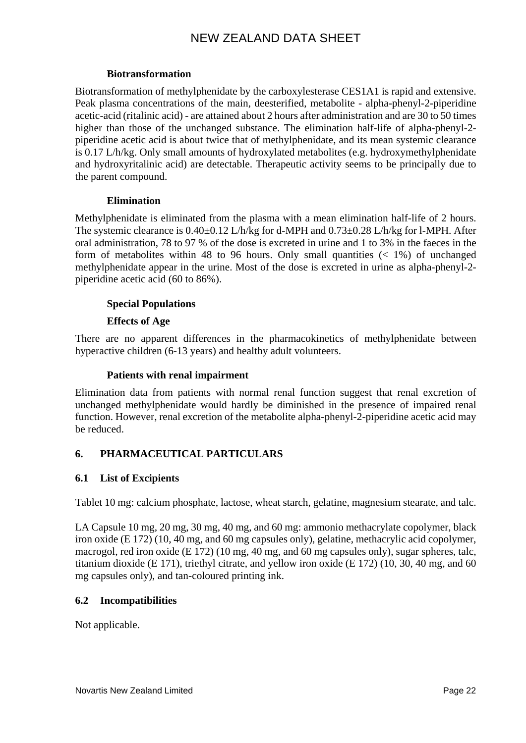### **Biotransformation**

Biotransformation of methylphenidate by the carboxylesterase CES1A1 is rapid and extensive. Peak plasma concentrations of the main, deesterified, metabolite - alpha-phenyl-2-piperidine acetic-acid (ritalinic acid) - are attained about 2 hours after administration and are 30 to 50 times higher than those of the unchanged substance. The elimination half-life of alpha-phenyl-2 piperidine acetic acid is about twice that of methylphenidate, and its mean systemic clearance is 0.17 L/h/kg. Only small amounts of hydroxylated metabolites (e.g. hydroxymethylphenidate and hydroxyritalinic acid) are detectable. Therapeutic activity seems to be principally due to the parent compound.

### **Elimination**

Methylphenidate is eliminated from the plasma with a mean elimination half-life of 2 hours. The systemic clearance is  $0.40\pm0.12$  L/h/kg for d-MPH and  $0.73\pm0.28$  L/h/kg for l-MPH. After oral administration, 78 to 97 % of the dose is excreted in urine and 1 to 3% in the faeces in the form of metabolites within 48 to 96 hours. Only small quantities  $(1\%)$  of unchanged methylphenidate appear in the urine. Most of the dose is excreted in urine as alpha-phenyl-2 piperidine acetic acid (60 to 86%).

# **Special Populations**

### **Effects of Age**

There are no apparent differences in the pharmacokinetics of methylphenidate between hyperactive children (6-13 years) and healthy adult volunteers.

### **Patients with renal impairment**

Elimination data from patients with normal renal function suggest that renal excretion of unchanged methylphenidate would hardly be diminished in the presence of impaired renal function. However, renal excretion of the metabolite alpha-phenyl-2-piperidine acetic acid may be reduced.

# **6. PHARMACEUTICAL PARTICULARS**

#### **6.1 List of Excipients**

Tablet 10 mg: calcium phosphate, lactose, wheat starch, gelatine, magnesium stearate, and talc.

LA Capsule 10 mg, 20 mg, 30 mg, 40 mg, and 60 mg: ammonio methacrylate copolymer, black iron oxide (E 172) (10, 40 mg, and 60 mg capsules only), gelatine, methacrylic acid copolymer, macrogol, red iron oxide (E 172) (10 mg, 40 mg, and 60 mg capsules only), sugar spheres, talc, titanium dioxide (E 171), triethyl citrate, and yellow iron oxide (E 172) (10, 30, 40 mg, and 60 mg capsules only), and tan-coloured printing ink.

# **6.2 Incompatibilities**

Not applicable.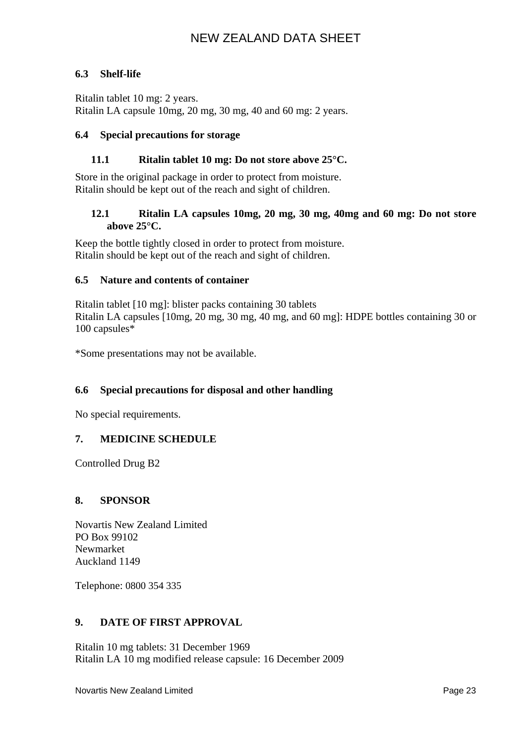# **6.3 Shelf-life**

Ritalin tablet 10 mg: 2 years. Ritalin LA capsule 10mg, 20 mg, 30 mg, 40 and 60 mg: 2 years.

### **6.4 Special precautions for storage**

### **11.1 Ritalin tablet 10 mg: Do not store above 25°C.**

Store in the original package in order to protect from moisture. Ritalin should be kept out of the reach and sight of children.

### **12.1 Ritalin LA capsules 10mg, 20 mg, 30 mg, 40mg and 60 mg: Do not store above 25°C.**

Keep the bottle tightly closed in order to protect from moisture. Ritalin should be kept out of the reach and sight of children.

#### **6.5 Nature and contents of container**

Ritalin tablet [10 mg]: blister packs containing 30 tablets Ritalin LA capsules [10mg, 20 mg, 30 mg, 40 mg, and 60 mg]: HDPE bottles containing 30 or 100 capsules\*

\*Some presentations may not be available.

# **6.6 Special precautions for disposal and other handling**

No special requirements.

#### **7. MEDICINE SCHEDULE**

Controlled Drug B2

#### **8. SPONSOR**

Novartis New Zealand Limited PO Box 99102 Newmarket Auckland 1149

Telephone: 0800 354 335

#### **9. DATE OF FIRST APPROVAL**

Ritalin 10 mg tablets: 31 December 1969 Ritalin LA 10 mg modified release capsule: 16 December 2009